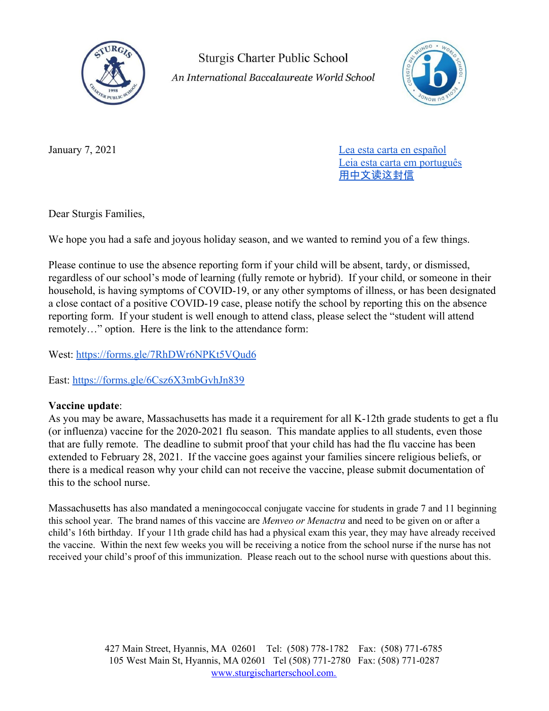

**Sturgis Charter Public School** An International Baccalaureate World School



January 7, 2021 [Lea esta carta en español](https://docs.google.com/document/d/1SIvgkP3JXa3pnCwqU-6TMGus7GCq8Dc9lkBDzFTMtAs/edit?usp=sharing) [Leia esta carta em português](https://docs.google.com/document/d/1zyz4rt9I6p8MIAHoPh-Ee5QwGkcOlFYT-a06VCUEhfI/edit?usp=sharing) [用中文](https://docs.google.com/document/d/1W59B0oCEJgcZO3O2qtq_ytlIMv3JiKS-xkn2lfnhREY/edit?usp=sharing)读这封信

Dear Sturgis Families,

We hope you had a safe and joyous holiday season, and we wanted to remind you of a few things.

Please continue to use the absence reporting form if your child will be absent, tardy, or dismissed, regardless of our school's mode of learning (fully remote or hybrid). If your child, or someone in their household, is having symptoms of COVID-19, or any other symptoms of illness, or has been designated a close contact of a positive COVID-19 case, please notify the school by reporting this on the absence reporting form. If your student is well enough to attend class, please select the "student will attend remotely…" option. Here is the link to the attendance form:

West: <https://forms.gle/7RhDWr6NPKt5VQud6>

East: <https://forms.gle/6Csz6X3mbGvhJn839>

## **Vaccine update**:

As you may be aware, Massachusetts has made it a requirement for all K-12th grade students to get a flu (or influenza) vaccine for the 2020-2021 flu season. This mandate applies to all students, even those that are fully remote. The deadline to submit proof that your child has had the flu vaccine has been extended to February 28, 2021. If the vaccine goes against your families sincere religious beliefs, or there is a medical reason why your child can not receive the vaccine, please submit documentation of this to the school nurse.

Massachusetts has also mandated a meningococcal conjugate vaccine for students in grade 7 and 11 beginning this school year. The brand names of this vaccine are *Menveo or Menactra* and need to be given on or after a child's 16th birthday. If your 11th grade child has had a physical exam this year, they may have already received the vaccine. Within the next few weeks you will be receiving a notice from the school nurse if the nurse has not received your child's proof of this immunization. Please reach out to the school nurse with questions about this.